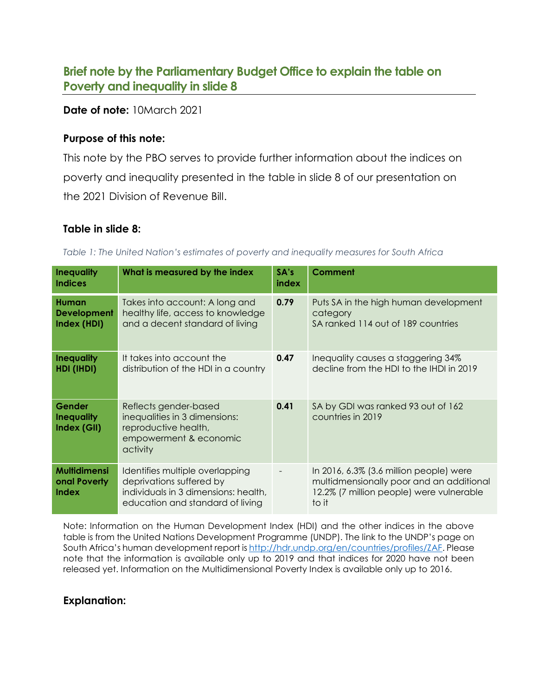# **Brief note by the Parliamentary Budget Office to explain the table on Poverty and inequality in slide 8**

### **Date of note:** 10March 2021

### **Purpose of this note:**

This note by the PBO serves to provide further information about the indices on poverty and inequality presented in the table in slide 8 of our presentation on the 2021 Division of Revenue Bill.

## **Table in slide 8:**

*Table 1: The United Nation's estimates of poverty and inequality measures for South Africa*

| <b>Inequality</b><br><b>Indices</b>                 | What is measured by the index                                                                                                           | SA's<br>index | <b>Comment</b>                                                                                                                                 |
|-----------------------------------------------------|-----------------------------------------------------------------------------------------------------------------------------------------|---------------|------------------------------------------------------------------------------------------------------------------------------------------------|
| <b>Human</b><br><b>Development</b><br>Index (HDI)   | Takes into account: A long and<br>healthy life, access to knowledge<br>and a decent standard of living                                  | 0.79          | Puts SA in the high human development<br>category<br>SA ranked 114 out of 189 countries                                                        |
| <b>Inequality</b><br>HDI (IHDI)                     | It takes into account the<br>distribution of the HDI in a country                                                                       | 0.47          | Inequality causes a staggering 34%<br>decline from the HDI to the IHDI in 2019                                                                 |
| <b>Gender</b><br><b>Inequality</b><br>Index (GII)   | Reflects gender-based<br>inequalities in 3 dimensions:<br>reproductive health,<br>empowerment & economic<br>activity                    | 0.41          | SA by GDI was ranked 93 out of 162<br>countries in 2019                                                                                        |
| <b>Multidimensi</b><br>onal Poverty<br><b>Index</b> | Identifies multiple overlapping<br>deprivations suffered by<br>individuals in 3 dimensions: health,<br>education and standard of living |               | In $2016$ , $6.3\%$ (3.6 million people) were<br>multidmensionally poor and an additional<br>12.2% (7 million people) were vulnerable<br>to it |

Note: Information on the Human Development Index (HDI) and the other indices in the above table is from the United Nations Development Programme (UNDP). The link to the UNDP's page on South Africa's human development report is [http://hdr.undp.org/en/countries/profiles/ZAF.](http://hdr.undp.org/en/countries/profiles/ZAF) Please note that the information is available only up to 2019 and that indices for 2020 have not been released yet. Information on the Multidimensional Poverty Index is available only up to 2016.

# **Explanation:**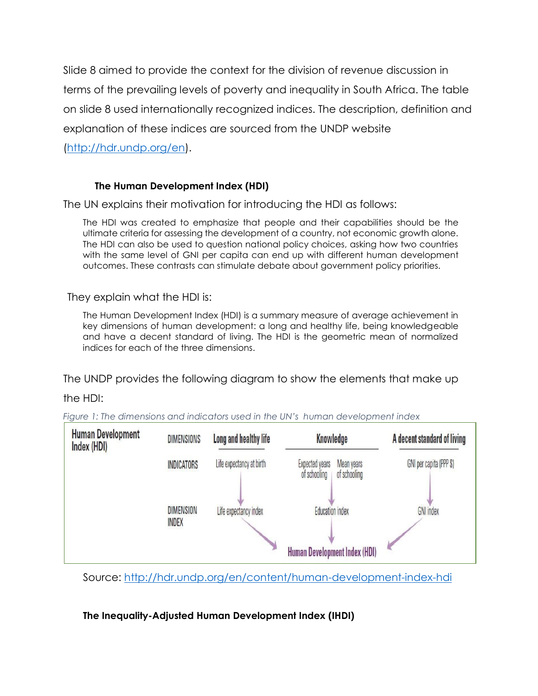Slide 8 aimed to provide the context for the division of revenue discussion in terms of the prevailing levels of poverty and inequality in South Africa. The table on slide 8 used internationally recognized indices. The description, definition and explanation of these indices are sourced from the UNDP website

[\(http://hdr.undp.org/en\)](http://hdr.undp.org/en).

# **The Human Development Index (HDI)**

The UN explains their motivation for introducing the HDI as follows:

The HDI was created to emphasize that people and their capabilities should be the ultimate criteria for assessing the development of a country, not economic growth alone. The HDI can also be used to question national policy choices, asking how two countries with the same level of GNI per capita can end up with different human development outcomes. These contrasts can stimulate debate about government policy priorities.

They explain what the HDI is:

The Human Development Index (HDI) is a summary measure of average achievement in key dimensions of human development: a long and healthy life, being knowledgeable and have a decent standard of living. The HDI is the geometric mean of normalized indices for each of the three dimensions.

The UNDP provides the following diagram to show the elements that make up

the HDI:

*Figure 1: The dimensions and indicators used in the UN's human development index*



Source:<http://hdr.undp.org/en/content/human-development-index-hdi>

**The Inequality-Adjusted Human Development Index (IHDI)**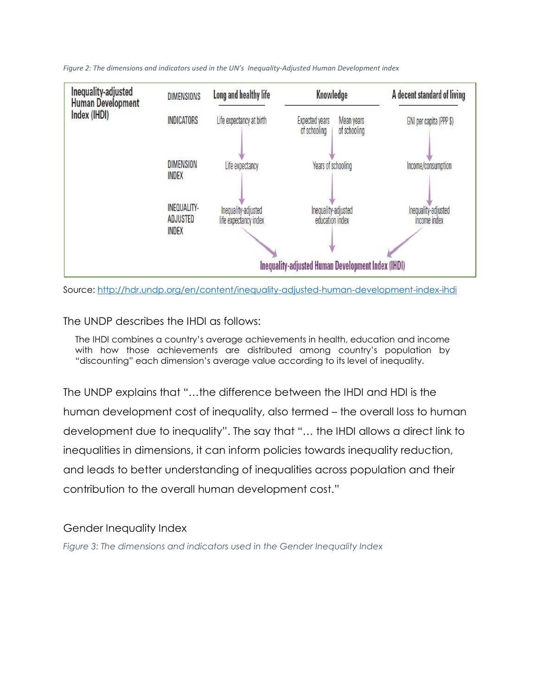

*Figure 2: The dimensions and indicators used in the UN's Inequality-Adjusted Human Development index*



The UNDP describes the IHDI as follows:

The IHDI combines a country's average achievements in health, education and income with how those achievements are distributed among country's population by "discounting" each dimension's average value according to its level of inequality.

The UNDP explains that "…the difference between the IHDI and HDI is the human development cost of inequality, also termed – the overall loss to human development due to inequality". The say that "… the IHDI allows a direct link to inequalities in dimensions, it can inform policies towards inequality reduction, and leads to better understanding of inequalities across population and their contribution to the overall human development cost."

#### Gender Inequality Index

*Figure 3: The dimensions and indicators used in the Gender Inequality Index*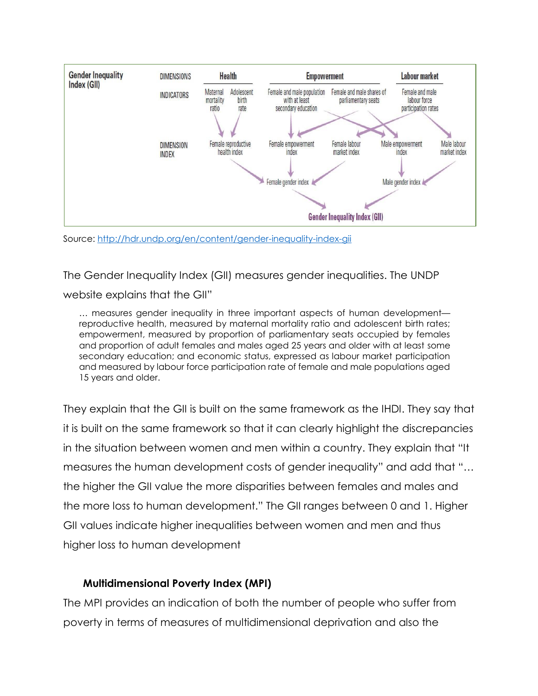

Source:<http://hdr.undp.org/en/content/gender-inequality-index-gii>

The Gender Inequality Index (GII) measures gender inequalities. The UNDP

website explains that the GII"

… measures gender inequality in three important aspects of human development reproductive health, measured by maternal mortality ratio and adolescent birth rates; empowerment, measured by proportion of parliamentary seats occupied by females and proportion of adult females and males aged 25 years and older with at least some secondary education; and economic status, expressed as labour market participation and measured by labour force participation rate of female and male populations aged 15 years and older.

They explain that the GII is built on the same framework as the IHDI. They say that it is built on the same framework so that it can clearly highlight the discrepancies in the situation between women and men within a country. They explain that "It measures the human development costs of gender inequality" and add that "… the higher the GII value the more disparities between females and males and the more loss to human development." The GII ranges between 0 and 1. Higher GII values indicate higher inequalities between women and men and thus higher loss to human development

# **Multidimensional Poverty Index (MPI)**

The MPI provides an indication of both the number of people who suffer from poverty in terms of measures of multidimensional deprivation and also the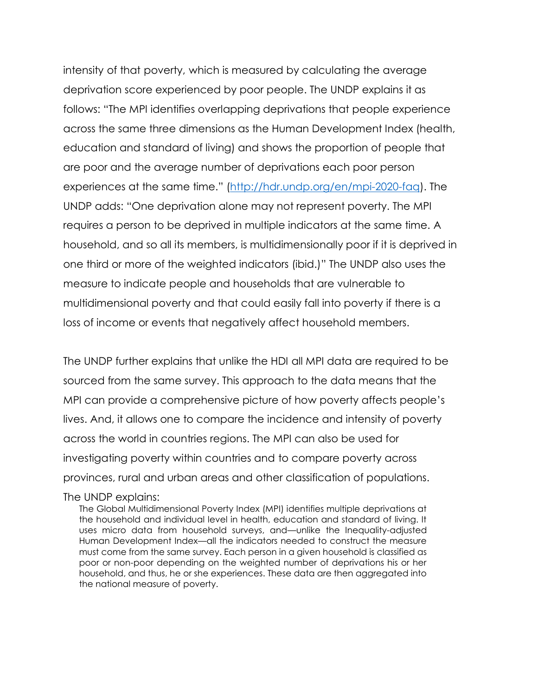intensity of that poverty, which is measured by calculating the average deprivation score experienced by poor people. The UNDP explains it as follows: "The MPI identifies overlapping deprivations that people experience across the same three dimensions as the Human Development Index (health, education and standard of living) and shows the proportion of people that are poor and the average number of deprivations each poor person experiences at the same time." [\(http://hdr.undp.org/en/mpi-2020-faq\)](http://hdr.undp.org/en/mpi-2020-faq). The UNDP adds: "One deprivation alone may not represent poverty. The MPI requires a person to be deprived in multiple indicators at the same time. A household, and so all its members, is multidimensionally poor if it is deprived in one third or more of the weighted indicators (ibid.)" The UNDP also uses the measure to indicate people and households that are vulnerable to multidimensional poverty and that could easily fall into poverty if there is a loss of income or events that negatively affect household members.

The UNDP further explains that unlike the HDI all MPI data are required to be sourced from the same survey. This approach to the data means that the MPI can provide a comprehensive picture of how poverty affects people's lives. And, it allows one to compare the incidence and intensity of poverty across the world in countries regions. The MPI can also be used for investigating poverty within countries and to compare poverty across provinces, rural and urban areas and other classification of populations.

#### The UNDP explains:

The Global Multidimensional Poverty Index (MPI) identifies multiple deprivations at the household and individual level in health, education and standard of living. It uses micro data from household surveys, and—unlike the Inequality-adjusted Human Development Index—all the indicators needed to construct the measure must come from the same survey. Each person in a given household is classified as poor or non-poor depending on the weighted number of deprivations his or her household, and thus, he or she experiences. These data are then aggregated into the national measure of poverty.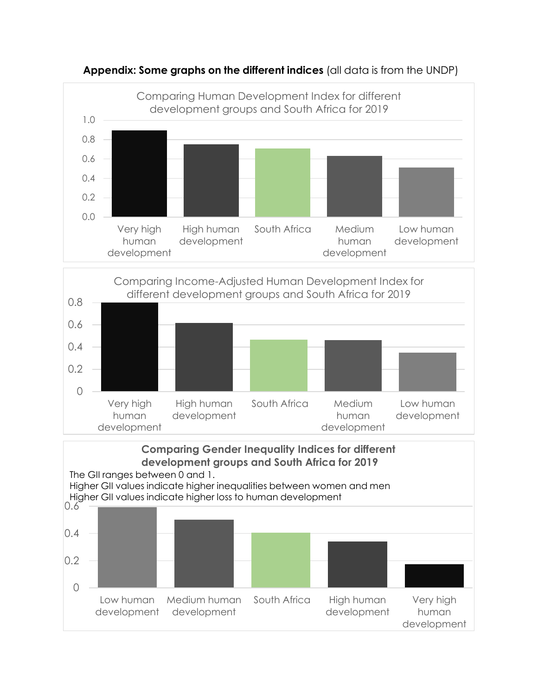

**Appendix: Some graphs on the different indices** (all data is from the UNDP)